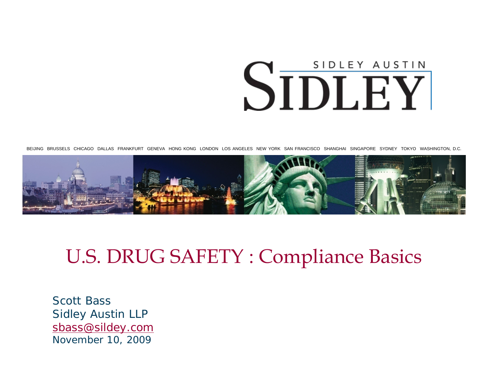# SIDLEY AUSTIN SIDLEY

BEIJING BRUSSELS CHICAGO DALLAS FRANKFURT GENEVA HONG KONG LONDON LOS ANGELES NEW YORK SAN FRANCISCO SHANGHAI SINGAPORE SYDNEY TOKYO WASHINGTON, D.C.



#### U.S. DRUG SAFETY : Compliance Basics

Scott BassSidley Austin LLP [sbass@sildey.com](mailto:sbass@sildey.com) November 10, 2009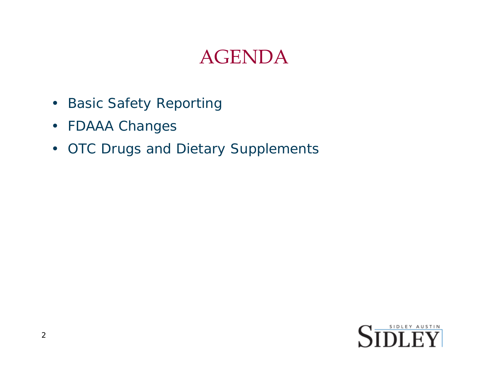#### AGENDA

- Basic Safety Reporting
- FDAAA Changes
- OTC Drugs and Dietary Supplements

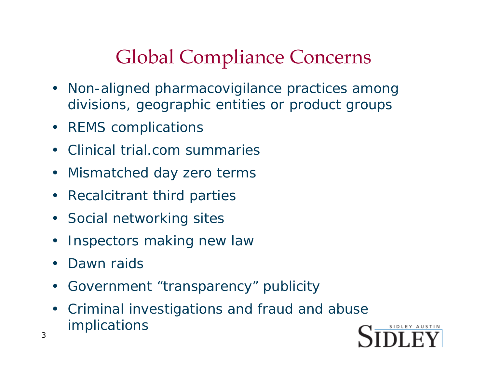# Global Compliance Concerns

- Non-aligned pharmacovigilance practices among divisions, geographic entities or product groups
- REMS complications
- Clinical trial.com summaries
- Mismatched day zero terms
- Recalcitrant third parties
- Social networking sites
- Inspectors making new law
- Dawn raids
- Government "transparency" publicity
- Criminal investigations and fraud and abuse implications

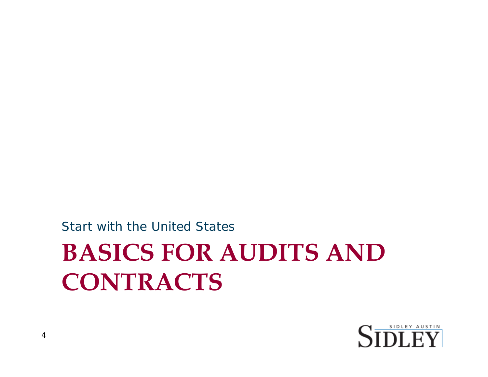# **BASICS FOR AUDITS AND CONTRACTS** Start with the United States

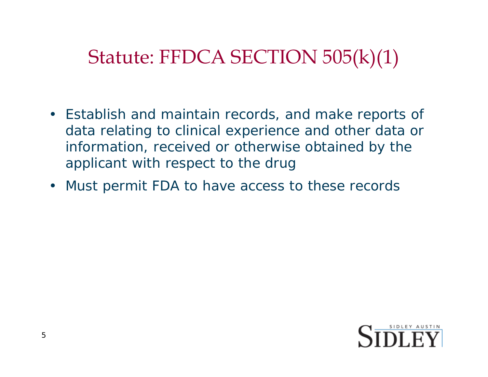# Statute: FFDCA SECTION 505(k)(1)

- Establish and maintain records, and make reports of data relating to clinical experience and other data or information, received or otherwise obtained by the applicant with respect to the drug
- Must permit FDA to have access to these records

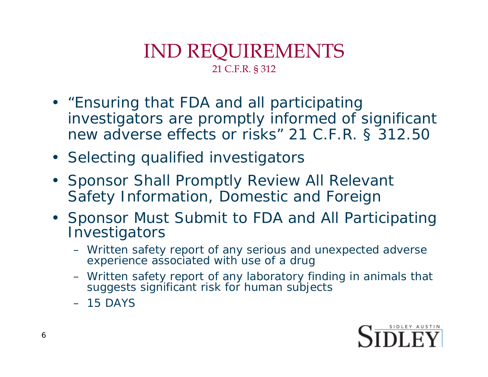#### IND REQUIREMENTS 21 C.F.R. § 312

- "Ensuring that FDA and all participating investigators are promptly informed of significant new adverse effects or risks" 21 C.F.R. § 312.50
- Selecting qualified investigators
- Sponsor Shall Promptly Review All Relevant Safety Information, Domestic and Foreign
- Sponsor Must Submit to FDA and All Participating **Investigators** 
	- Written safety report of any serious and unexpected adverse experience associated with use of a drug
	- Written safety report of any laboratory finding in animals that suggests significant risk for human subjects
	- $-15$  DAYS

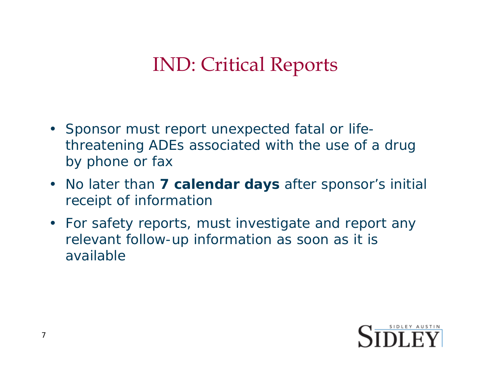# IND: Critical Reports

- Sponsor must report unexpected fatal or lifethreatening ADEs associated with the use of a drug by phone or fax
- No later than **7 calendar days** after sponsor's initial receipt of information
- For safety reports, must investigate and report any relevant follow-up information as soon as it is available

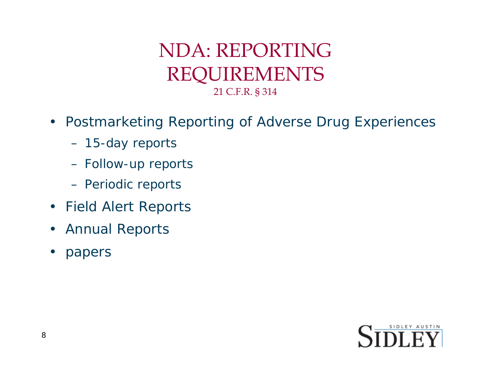#### NDA: REPORTINGREQUIREMENTS 21 C.F.R. § 314

- Postmarketing Reporting of Adverse Drug Experiences
	- 15-day reports
	- Follow-up reports
	- Periodic reports
- Field Alert Reports
- Annual Reports
- papers

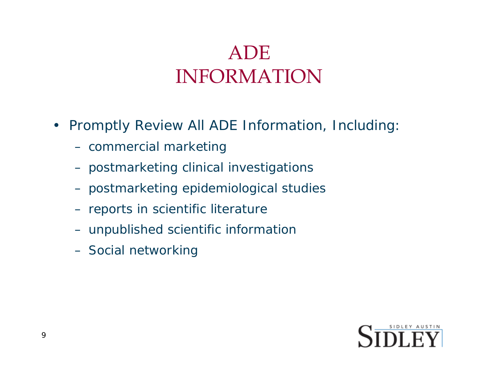### ADE INFORMATION

- Promptly Review All ADE Information, Including:
	- commercial marketing
	- postmarketing clinical investigations
	- postmarketing epidemiological studies
	- reports in scientific literature
	- unpublished scientific information
	- Social networking

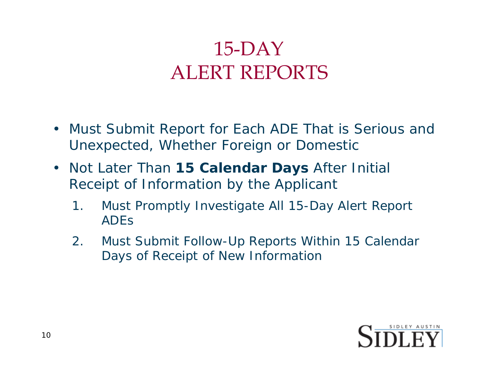### 15-DAY ALERT REPORTS

- Must Submit Report for Each ADE That is *Serious and Unexpected*, Whether Foreign or Domestic
- Not Later Than **15 Calendar Days** After Initial Receipt of Information by the Applicant
	- 1. Must Promptly Investigate All 15-Day Alert Report ADEs
	- 2. Must Submit Follow-Up Reports Within 15 Calendar Days of Receipt of New Information

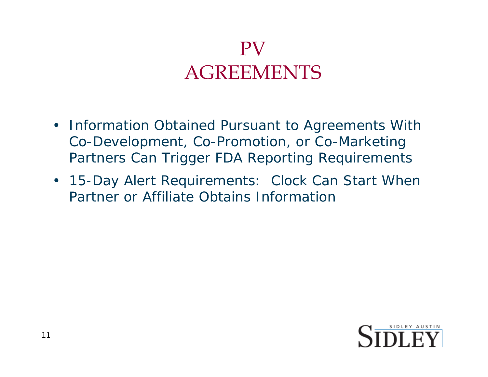#### PVAGREEMENTS

- Information Obtained Pursuant to Agreements With Co-Development, Co-Promotion, or Co-Marketing Partners Can Trigger FDA Reporting Requirements
- 15-Day Alert Requirements: Clock Can Start When Partner or Affiliate Obtains Information

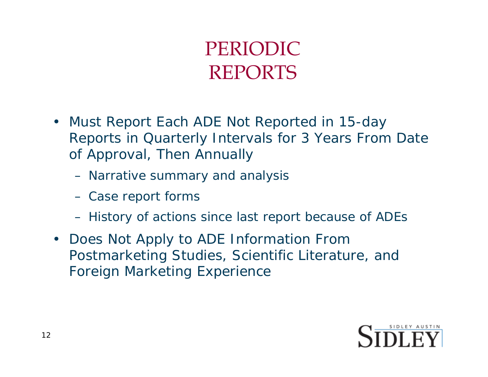#### PERIODIC REPORTS

- Must Report Each ADE Not Reported in 15-day Reports in Quarterly Intervals for 3 Years From Date of Approval, Then Annually
	- Narrative summary and analysis
	- Case report forms
	- History of actions since last report because of ADEs
- Does Not Apply to ADE Information From Postmarketing Studies, Scientific Literature, and Foreign Marketing Experience

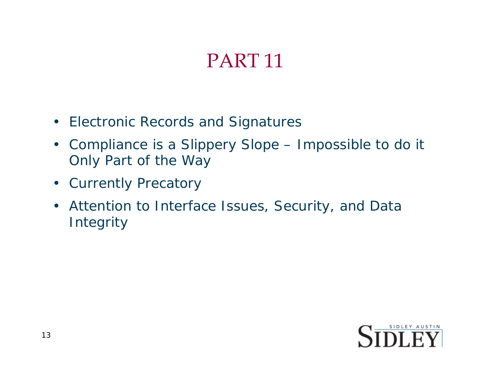# PART 11

- Electronic Records and Signatures
- Compliance is a Slippery Slope Impossible to do it Only Part of the Way
- Currently Precatory
- Attention to Interface Issues, Security, and Data Integrity

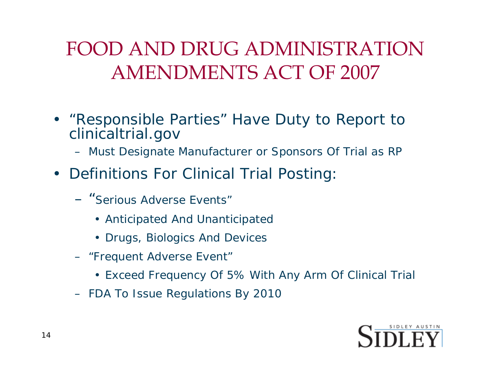### FOOD AND DRUG ADMINISTRATION AMENDMENTS ACT OF 2007

- "Responsible Parties" Have Duty to Report to clinicaltrial.gov
	- Must Designate Manufacturer or Sponsors Of Trial as RP
- Definitions For Clinical Trial Posting:
	- "Serious Adverse Events"
		- Anticipated And Unanticipated
		- Drugs, Biologics And Devices
	- "Frequent Adverse Event"
		- Exceed Frequency Of 5% With Any Arm Of Clinical Trial
	- FDA To Issue Regulations By 2010

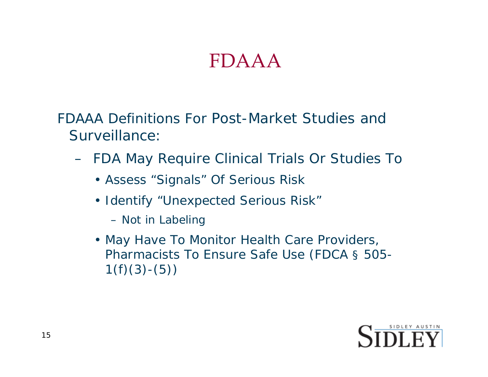#### FDAAA

FDAAA Definitions For Post-Market Studies and Surveillance:

- FDA May Require Clinical Trials Or Studies To
	- Assess "Signals" Of Serious Risk
	- Identify "Unexpected Serious Risk"
		- Not in Labeling
	- May Have To Monitor Health Care Providers, Pharmacists To Ensure Safe Use (FDCA § 505-  $1(f)(3)-(5))$

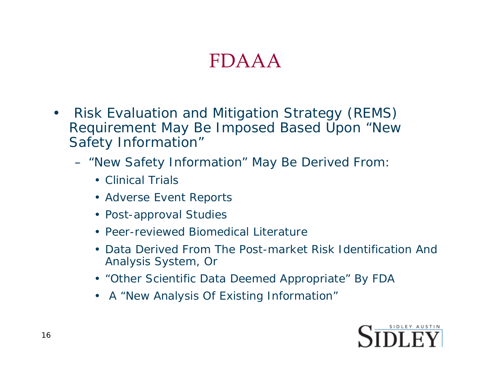#### FDAAA

- Risk Evaluation and Mitigation Strategy (REMS) Requirement May Be Imposed Based Upon "New Safety Information"
	- "New Safety Information" May Be Derived From:
		- Clinical Trials
		- Adverse Event Reports
		- Post-approval Studies
		- Peer-reviewed Biomedical Literature
		- Data Derived From The Post-market Risk Identification And Analysis System, Or
		- "Other Scientific Data Deemed Appropriate" By FDA
		- A "New Analysis Of Existing Information"

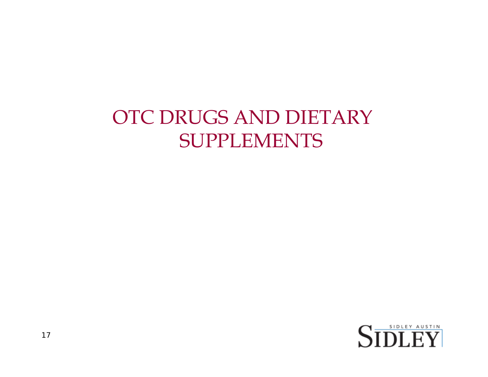#### OTC DRUGS AND DIETARY SUPPLEMENTS